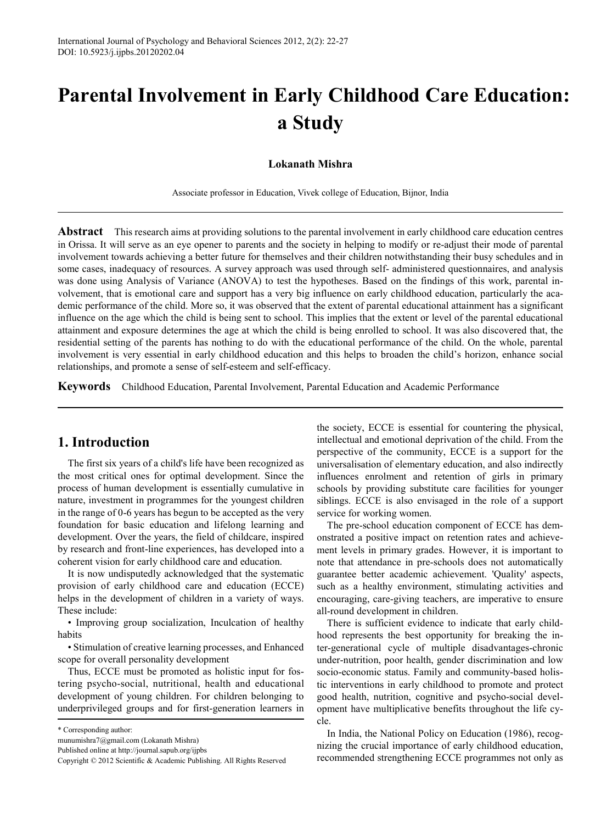# **Parental Involvement in Early Childhood Care Education: a Study**

## **Lokanath Mishra**

Associate professor in Education, Vivek college of Education, Bijnor, India

**Abstract** This research aims at providing solutions to the parental involvement in early childhood care education centres in Orissa. It will serve as an eye opener to parents and the society in helping to modify or re-adjust their mode of parental involvement towards achieving a better future for themselves and their children notwithstanding their busy schedules and in some cases, inadequacy of resources. A survey approach was used through self- administered questionnaires, and analysis was done using Analysis of Variance (ANOVA) to test the hypotheses. Based on the findings of this work, parental involvement, that is emotional care and support has a very big influence on early childhood education, particularly the academic performance of the child. More so, it was observed that the extent of parental educational attainment has a significant influence on the age which the child is being sent to school. This implies that the extent or level of the parental educational attainment and exposure determines the age at which the child is being enrolled to school. It was also discovered that, the residential setting of the parents has nothing to do with the educational performance of the child. On the whole, parental involvement is very essential in early childhood education and this helps to broaden the child's horizon, enhance social relationships, and promote a sense of self-esteem and self-efficacy.

**Keywords** Childhood Education, Parental Involvement, Parental Education and Academic Performance

# **1. Introduction**

The first six years of a child's life have been recognized as the most critical ones for optimal development. Since the process of human development is essentially cumulative in nature, investment in programmes for the youngest children in the range of 0-6 years has begun to be accepted as the very foundation for basic education and lifelong learning and development. Over the years, the field of childcare, inspired by research and front-line experiences, has developed into a coherent vision for early childhood care and education.

It is now undisputedly acknowledged that the systematic provision of early childhood care and education (ECCE) helps in the development of children in a variety of ways. These include:

• Improving group socialization, Inculcation of healthy habits

• Stimulation of creative learning processes, and Enhanced scope for overall personality development

Thus, ECCE must be promoted as holistic input for fostering psycho-social, nutritional, health and educational development of young children. For children belonging to underprivileged groups and for first-generation learners in

the society, ECCE is essential for countering the physical, intellectual and emotional deprivation of the child. From the perspective of the community, ECCE is a support for the universalisation of elementary education, and also indirectly influences enrolment and retention of girls in primary schools by providing substitute care facilities for younger siblings. ECCE is also envisaged in the role of a support service for working women.

The pre-school education component of ECCE has demonstrated a positive impact on retention rates and achievement levels in primary grades. However, it is important to note that attendance in pre-schools does not automatically guarantee better academic achievement. 'Quality' aspects, such as a healthy environment, stimulating activities and encouraging, care-giving teachers, are imperative to ensure all-round development in children.

There is sufficient evidence to indicate that early childhood represents the best opportunity for breaking the inter-generational cycle of multiple disadvantages-chronic under-nutrition, poor health, gender discrimination and low socio-economic status. Family and community-based holistic interventions in early childhood to promote and protect good health, nutrition, cognitive and psycho-social development have multiplicative benefits throughout the life cycle.

In India, the National Policy on Education (1986), recognizing the crucial importance of early childhood education, recommended strengthening ECCE programmes not only as

<sup>\*</sup> Corresponding author:

munumishra7@gmail.com (Lokanath Mishra)

Published online at http://journal.sapub.org/ijpbs

Copyright © 2012 Scientific & Academic Publishing. All Rights Reserved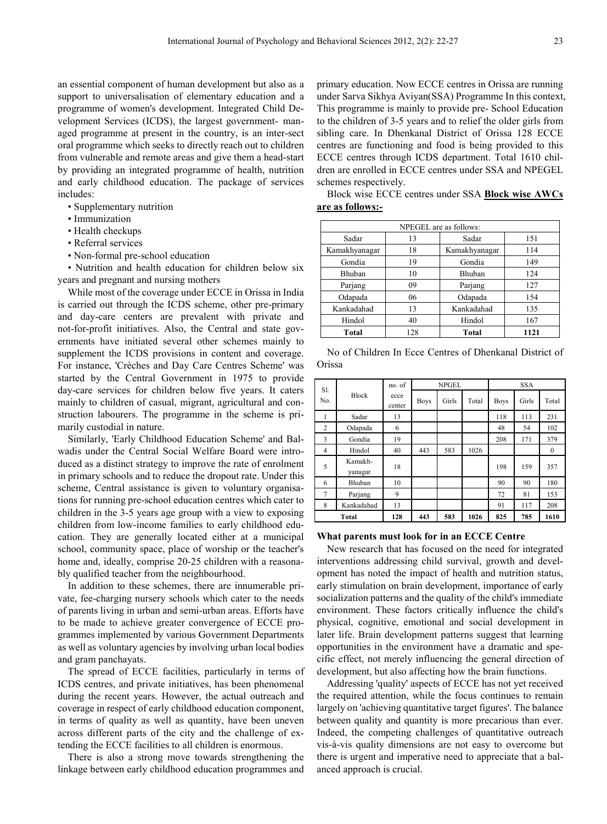an essential component of human development but also as a support to universalisation of elementary education and a programme of women's development. Integrated Child Development Services (ICDS), the largest government- managed programme at present in the country, is an inter-sect oral programme which seeks to directly reach out to children from vulnerable and remote areas and give them a head-start by providing an integrated programme of health, nutrition and early childhood education. The package of services includes:

- Supplementary nutrition
- Immunization
- Health checkups
- Referral services
- Non-formal pre-school education

• Nutrition and health education for children below six years and pregnant and nursing mothers

While most of the coverage under ECCE in Orissa in India is carried out through the ICDS scheme, other pre-primary and day-care centers are prevalent with private and not-for-profit initiatives. Also, the Central and state governments have initiated several other schemes mainly to supplement the ICDS provisions in content and coverage. For instance, 'Crèches and Day Care Centres Scheme' was started by the Central Government in 1975 to provide day-care services for children below five years. It caters mainly to children of casual, migrant, agricultural and construction labourers. The programme in the scheme is primarily custodial in nature.

Similarly, 'Early Childhood Education Scheme' and Balwadis under the Central Social Welfare Board were introduced as a distinct strategy to improve the rate of enrolment in primary schools and to reduce the dropout rate. Under this scheme, Central assistance is given to voluntary organisations for running pre-school education centres which cater to children in the 3-5 years age group with a view to exposing children from low-income families to early childhood education. They are generally located either at a municipal school, community space, place of worship or the teacher's home and, ideally, comprise 20-25 children with a reasonably qualified teacher from the neighbourhood.

In addition to these schemes, there are innumerable private, fee-charging nursery schools which cater to the needs of parents living in urban and semi-urban areas. Efforts have to be made to achieve greater convergence of ECCE programmes implemented by various Government Departments as well as voluntary agencies by involving urban local bodies and gram panchayats.

The spread of ECCE facilities, particularly in terms of ICDS centres, and private initiatives, has been phenomenal during the recent years. However, the actual outreach and coverage in respect of early childhood education component, in terms of quality as well as quantity, have been uneven across different parts of the city and the challenge of extending the ECCE facilities to all children is enormous.

There is also a strong move towards strengthening the linkage between early childhood education programmes and

primary education. Now ECCE centres in Orissa are running under Sarva Sikhya Aviyan(SSA) Programme In this context, This programme is mainly to provide pre- School Education to the children of 3-5 years and to relief the older girls from sibling care. In Dhenkanal District of Orissa 128 ECCE centres are functioning and food is being provided to this ECCE centres through ICDS department. Total 1610 children are enrolled in ECCE centres under SSA and NPEGEL schemes respectively.

Block wise ECCE centres under SSA **Block wise AWCs are as follows:-**

| NPEGEL are as follows: |     |               |      |  |  |
|------------------------|-----|---------------|------|--|--|
| Sadar                  | 13  | Sadar         | 151  |  |  |
| Kamakhyanagar          | 18  | Kamakhyanagar | 114  |  |  |
| Gondia                 | 19  | Gondia        | 149  |  |  |
| Bhuban                 | 10  | Bhuban        | 124  |  |  |
| Parjang                | 09  | Parjang       | 127  |  |  |
| Odapada                | 06  | Odapada       | 154  |  |  |
| Kankadahad             | 13  | Kankadahad    | 135  |  |  |
| Hindol                 | 40  | Hindol<br>167 |      |  |  |
| Total                  | 128 | Total         | 1121 |  |  |

No of Children In Ecce Centres of Dhenkanal District of Orissa

| SI.            |                    | no. of         | <b>NPGEL</b> |       | <b>SSA</b> |             |       |              |
|----------------|--------------------|----------------|--------------|-------|------------|-------------|-------|--------------|
| No.            | <b>Block</b>       | ecce<br>center | <b>Boys</b>  | Girls | Total      | <b>Boys</b> | Girls | Total        |
| 1              | Sadar              | 13             |              |       |            | 118         | 113   | 231          |
| $\overline{2}$ | Odapada            | 6              |              |       |            | 48          | 54    | 102          |
| 3              | Gondia             | 19             |              |       |            | 208         | 171   | 379          |
| $\overline{4}$ | Hindol             | 40             | 443          | 583   | 1026       |             |       | $\mathbf{0}$ |
| 5              | Kamakh-<br>vanagar | 18             |              |       |            | 198         | 159   | 357          |
| 6              | Bhuban             | 10             |              |       |            | 90          | 90    | 180          |
| 7              | Parjang            | 9              |              |       |            | 72          | 81    | 153          |
| 8              | Kankadahad         | 13             |              |       |            | 91          | 117   | 208          |
|                | Total              | 128            | 443          | 583   | 1026       | 825         | 785   | 1610         |

#### **What parents must look for in an ECCE Centre**

New research that has focused on the need for integrated interventions addressing child survival, growth and development has noted the impact of health and nutrition status, early stimulation on brain development, importance of early socialization patterns and the quality of the child's immediate environment. These factors critically influence the child's physical, cognitive, emotional and social development in later life. Brain development patterns suggest that learning opportunities in the environment have a dramatic and specific effect, not merely influencing the general direction of development, but also affecting how the brain functions.

Addressing 'quality' aspects of ECCE has not yet received the required attention, while the focus continues to remain largely on 'achieving quantitative target figures'. The balance between quality and quantity is more precarious than ever. Indeed, the competing challenges of quantitative outreach vis-à-vis quality dimensions are not easy to overcome but there is urgent and imperative need to appreciate that a balanced approach is crucial.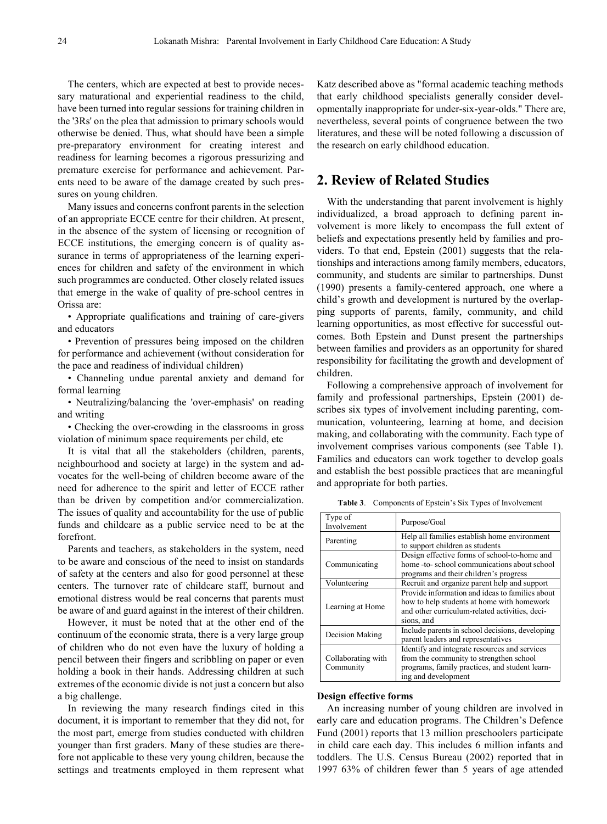The centers, which are expected at best to provide necessary maturational and experiential readiness to the child, have been turned into regular sessions for training children in the '3Rs' on the plea that admission to primary schools would otherwise be denied. Thus, what should have been a simple pre-preparatory environment for creating interest and readiness for learning becomes a rigorous pressurizing and premature exercise for performance and achievement. Parents need to be aware of the damage created by such pressures on young children.

Many issues and concerns confront parents in the selection of an appropriate ECCE centre for their children. At present, in the absence of the system of licensing or recognition of ECCE institutions, the emerging concern is of quality assurance in terms of appropriateness of the learning experiences for children and safety of the environment in which such programmes are conducted. Other closely related issues that emerge in the wake of quality of pre-school centres in Orissa are:

• Appropriate qualifications and training of care-givers and educators

• Prevention of pressures being imposed on the children for performance and achievement (without consideration for the pace and readiness of individual children)

• Channeling undue parental anxiety and demand for formal learning

• Neutralizing/balancing the 'over-emphasis' on reading and writing

• Checking the over-crowding in the classrooms in gross violation of minimum space requirements per child, etc

It is vital that all the stakeholders (children, parents, neighbourhood and society at large) in the system and advocates for the well-being of children become aware of the need for adherence to the spirit and letter of ECCE rather than be driven by competition and/or commercialization. The issues of quality and accountability for the use of public funds and childcare as a public service need to be at the forefront.

Parents and teachers, as stakeholders in the system, need to be aware and conscious of the need to insist on standards of safety at the centers and also for good personnel at these centers. The turnover rate of childcare staff, burnout and emotional distress would be real concerns that parents must be aware of and guard against in the interest of their children.

However, it must be noted that at the other end of the continuum of the economic strata, there is a very large group of children who do not even have the luxury of holding a pencil between their fingers and scribbling on paper or even holding a book in their hands. Addressing children at such extremes of the economic divide is not just a concern but also a big challenge.

In reviewing the many research findings cited in this document, it is important to remember that they did not, for the most part, emerge from studies conducted with children younger than first graders. Many of these studies are therefore not applicable to these very young children, because the settings and treatments employed in them represent what

Katz described above as "formal academic teaching methods that early childhood specialists generally consider developmentally inappropriate for under-six-year-olds." There are, nevertheless, several points of congruence between the two literatures, and these will be noted following a discussion of the research on early childhood education.

# **2. Review of Related Studies**

With the understanding that parent involvement is highly individualized, a broad approach to defining parent involvement is more likely to encompass the full extent of beliefs and expectations presently held by families and providers. To that end, Epstein (2001) suggests that the relationships and interactions among family members, educators, community, and students are similar to partnerships. Dunst (1990) presents a family-centered approach, one where a child's growth and development is nurtured by the overlapping supports of parents, family, community, and child learning opportunities, as most effective for successful outcomes. Both Epstein and Dunst present the partnerships between families and providers as an opportunity for shared responsibility for facilitating the growth and development of children.

Following a comprehensive approach of involvement for family and professional partnerships, Epstein (2001) describes six types of involvement including parenting, communication, volunteering, learning at home, and decision making, and collaborating with the community. Each type of involvement comprises various components (see Table 1). Families and educators can work together to develop goals and establish the best possible practices that are meaningful and appropriate for both parties.

**Table 3**. Components of Epstein's Six Types of Involvement

| Type of<br>Involvement          | Purpose/Goal                                                                                                                                                      |  |
|---------------------------------|-------------------------------------------------------------------------------------------------------------------------------------------------------------------|--|
| Parenting                       | Help all families establish home environment<br>to support children as students                                                                                   |  |
| Communicating                   | Design effective forms of school-to-home and<br>home -to- school communications about school<br>programs and their children's progress                            |  |
| Volunteering                    | Recruit and organize parent help and support                                                                                                                      |  |
| Learning at Home                | Provide information and ideas to families about<br>how to help students at home with homework<br>and other curriculum-related activities, deci-<br>sions, and     |  |
| Decision Making                 | Include parents in school decisions, developing<br>parent leaders and representatives                                                                             |  |
| Collaborating with<br>Community | Identify and integrate resources and services<br>from the community to strengthen school<br>programs, family practices, and student learn-<br>ing and development |  |

#### **Design effective forms**

An increasing number of young children are involved in early care and education programs. The Children's Defence Fund (2001) reports that 13 million preschoolers participate in child care each day. This includes 6 million infants and toddlers. The U.S. Census Bureau (2002) reported that in 1997 63% of children fewer than 5 years of age attended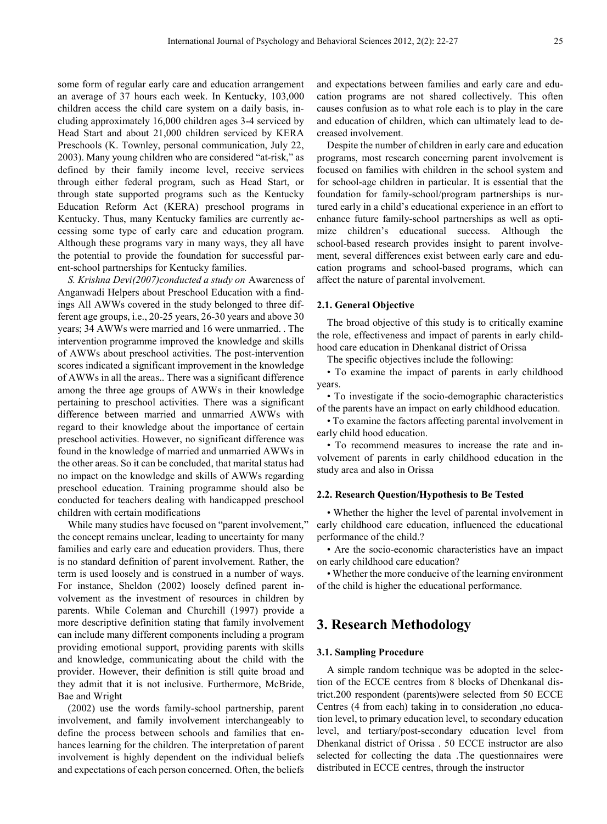some form of regular early care and education arrangement an average of 37 hours each week. In Kentucky, 103,000 children access the child care system on a daily basis, including approximately 16,000 children ages 3-4 serviced by Head Start and about 21,000 children serviced by KERA Preschools (K. Townley, personal communication, July 22, 2003). Many young children who are considered "at-risk," as defined by their family income level, receive services through either federal program, such as Head Start, or through state supported programs such as the Kentucky Education Reform Act (KERA) preschool programs in Kentucky. Thus, many Kentucky families are currently accessing some type of early care and education program. Although these programs vary in many ways, they all have the potential to provide the foundation for successful parent-school partnerships for Kentucky families.

*S. Krishna Devi(2007)conducted a study on* Awareness of Anganwadi Helpers about Preschool Education with a findings All AWWs covered in the study belonged to three different age groups, i.e., 20-25 years, 26-30 years and above 30 years; 34 AWWs were married and 16 were unmarried. . The intervention programme improved the knowledge and skills of AWWs about preschool activities. The post-intervention scores indicated a significant improvement in the knowledge of AWWs in all the areas.. There was a significant difference among the three age groups of AWWs in their knowledge pertaining to preschool activities. There was a significant difference between married and unmarried AWWs with regard to their knowledge about the importance of certain preschool activities. However, no significant difference was found in the knowledge of married and unmarried AWWs in the other areas. So it can be concluded, that marital status had no impact on the knowledge and skills of AWWs regarding preschool education. Training programme should also be conducted for teachers dealing with handicapped preschool children with certain modifications

While many studies have focused on "parent involvement," the concept remains unclear, leading to uncertainty for many families and early care and education providers. Thus, there is no standard definition of parent involvement. Rather, the term is used loosely and is construed in a number of ways. For instance, Sheldon (2002) loosely defined parent involvement as the investment of resources in children by parents. While Coleman and Churchill (1997) provide a more descriptive definition stating that family involvement can include many different components including a program providing emotional support, providing parents with skills and knowledge, communicating about the child with the provider. However, their definition is still quite broad and they admit that it is not inclusive. Furthermore, McBride, Bae and Wright

(2002) use the words family-school partnership, parent involvement, and family involvement interchangeably to define the process between schools and families that enhances learning for the children. The interpretation of parent involvement is highly dependent on the individual beliefs and expectations of each person concerned. Often, the beliefs

and expectations between families and early care and education programs are not shared collectively. This often causes confusion as to what role each is to play in the care and education of children, which can ultimately lead to decreased involvement.

Despite the number of children in early care and education programs, most research concerning parent involvement is focused on families with children in the school system and for school-age children in particular. It is essential that the foundation for family-school/program partnerships is nurtured early in a child's educational experience in an effort to enhance future family-school partnerships as well as optimize children's educational success. Although the school-based research provides insight to parent involvement, several differences exist between early care and education programs and school-based programs, which can affect the nature of parental involvement.

### **2.1. General Objective**

The broad objective of this study is to critically examine the role, effectiveness and impact of parents in early childhood care education in Dhenkanal district of Orissa

The specific objectives include the following:

• To examine the impact of parents in early childhood years.

• To investigate if the socio-demographic characteristics of the parents have an impact on early childhood education.

• To examine the factors affecting parental involvement in early child hood education.

• To recommend measures to increase the rate and involvement of parents in early childhood education in the study area and also in Orissa

## **2.2. Research Question/Hypothesis to Be Tested**

• Whether the higher the level of parental involvement in early childhood care education, influenced the educational performance of the child.?

• Are the socio-economic characteristics have an impact on early childhood care education?

• Whether the more conducive of the learning environment of the child is higher the educational performance.

## **3. Research Methodology**

## **3.1. Sampling Procedure**

A simple random technique was be adopted in the selection of the ECCE centres from 8 blocks of Dhenkanal district.200 respondent (parents)were selected from 50 ECCE Centres (4 from each) taking in to consideration ,no education level, to primary education level, to secondary education level, and tertiary/post-secondary education level from Dhenkanal district of Orissa . 50 ECCE instructor are also selected for collecting the data .The questionnaires were distributed in ECCE centres, through the instructor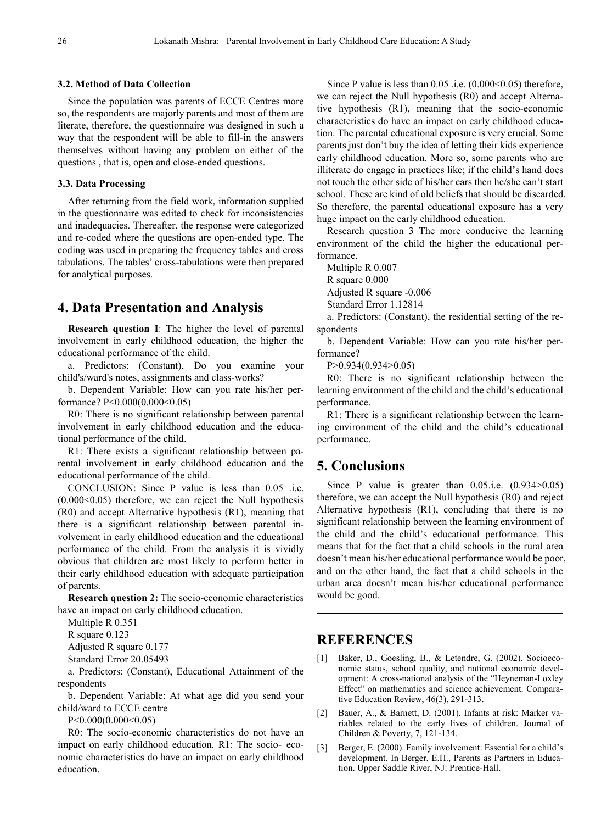## **3.2. Method of Data Collection**

Since the population was parents of ECCE Centres more so, the respondents are majorly parents and most of them are literate, therefore, the questionnaire was designed in such a way that the respondent will be able to fill-in the answers themselves without having any problem on either of the questions , that is, open and close-ended questions.

## **3.3. Data Processing**

After returning from the field work, information supplied in the questionnaire was edited to check for inconsistencies and inadequacies. Thereafter, the response were categorized and re-coded where the questions are open-ended type. The coding was used in preparing the frequency tables and cross tabulations. The tables' cross-tabulations were then prepared for analytical purposes.

## **4. Data Presentation and Analysis**

**Research question I**: The higher the level of parental involvement in early childhood education, the higher the educational performance of the child.

a. Predictors: (Constant), Do you examine your child's/ward's notes, assignments and class-works?

b. Dependent Variable: How can you rate his/her performance? P<0.000(0.000<0.05)

R0: There is no significant relationship between parental involvement in early childhood education and the educational performance of the child.

R1: There exists a significant relationship between parental involvement in early childhood education and the educational performance of the child.

CONCLUSION: Since P value is less than 0.05 .i.e.  $(0.000<0.05)$  therefore, we can reject the Null hypothesis (R0) and accept Alternative hypothesis (R1), meaning that there is a significant relationship between parental involvement in early childhood education and the educational performance of the child. From the analysis it is vividly obvious that children are most likely to perform better in their early childhood education with adequate participation of parents.

**Research question 2:** The socio-economic characteristics have an impact on early childhood education.

Multiple R 0.351

R square 0.123

Adjusted R square 0.177

Standard Error 20.05493

a. Predictors: (Constant), Educational Attainment of the respondents

b. Dependent Variable: At what age did you send your child/ward to ECCE centre

P<0.000(0.000<0.05)

R0: The socio-economic characteristics do not have an impact on early childhood education. R1: The socio- economic characteristics do have an impact on early childhood education.

Since P value is less than  $0.05$  .i.e.  $(0.000<0.05)$  therefore, we can reject the Null hypothesis (R0) and accept Alternative hypothesis (R1), meaning that the socio-economic characteristics do have an impact on early childhood education. The parental educational exposure is very crucial. Some parents just don't buy the idea of letting their kids experience early childhood education. More so, some parents who are illiterate do engage in practices like; if the child's hand does not touch the other side of his/her ears then he/she can't start school. These are kind of old beliefs that should be discarded. So therefore, the parental educational exposure has a very huge impact on the early childhood education.

Research question 3 The more conducive the learning environment of the child the higher the educational performance.

Multiple R 0.007 R square 0.000 Adjusted R square -0.006

Standard Error 1.12814

a. Predictors: (Constant), the residential setting of the respondents

b. Dependent Variable: How can you rate his/her performance?

P>0.934(0.934>0.05)

R0: There is no significant relationship between the learning environment of the child and the child's educational performance.

R1: There is a significant relationship between the learning environment of the child and the child's educational performance.

# **5. Conclusions**

Since P value is greater than  $0.05$ .i.e.  $(0.934>0.05)$ therefore, we can accept the Null hypothesis (R0) and reject Alternative hypothesis (R1), concluding that there is no significant relationship between the learning environment of the child and the child's educational performance. This means that for the fact that a child schools in the rural area doesn't mean his/her educational performance would be poor, and on the other hand, the fact that a child schools in the urban area doesn't mean his/her educational performance would be good.

# **REFERENCES**

- [1] Baker, D., Goesling, B., & Letendre, G. (2002). Socioeconomic status, school quality, and national economic development: A cross-national analysis of the "Heyneman-Loxley Effect" on mathematics and science achievement. Comparative Education Review, 46(3), 291-313.
- [2] Bauer, A., & Barnett, D. (2001). Infants at risk: Marker variables related to the early lives of children. Journal of Children & Poverty, 7, 121-134.
- [3] Berger, E. (2000). Family involvement: Essential for a child's development. In Berger, E.H., Parents as Partners in Education. Upper Saddle River, NJ: Prentice-Hall.